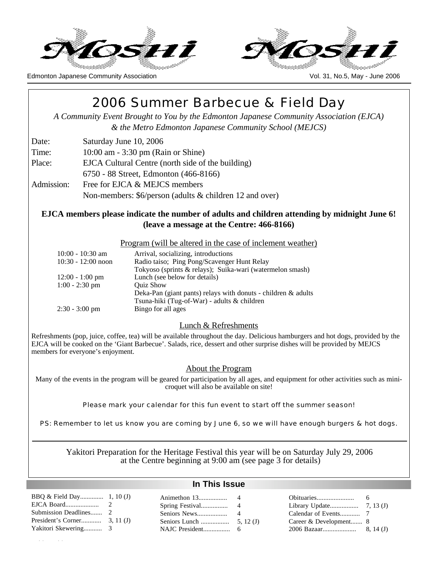



# 2006 Summer Barbecue & Field Day

*A Community Event Brought to You by the Edmonton Japanese Community Association (EJCA) & the Metro Edmonton Japanese Community School (MEJCS)*

Date: Saturday June 10, 2006

 $\alpha$  mos $\alpha$ 

- Time: 10:00 am 3:30 pm (Rain or Shine)
- Place: EJCA Cultural Centre (north side of the building)
	- 6750 88 Street, Edmonton (466-8166)
- Admission: Free for EJCA & MEJCS members Non-members: \$6/person (adults & children 12 and over)

## **EJCA members please indicate the number of adults and children attending by midnight June 6! (leave a message at the Centre: 466-8166)**

#### Program (will be altered in the case of inclement weather)

| $10:00 - 10:30$ am   | Arrival, socializing, introductions                              |
|----------------------|------------------------------------------------------------------|
| $10:30 - 12:00$ noon | Radio taiso; Ping Pong/Scavenger Hunt Relay                      |
|                      | Tokyoso (sprints & relays); Suika-wari (watermelon smash)        |
| $12:00 - 1:00$ pm    | Lunch (see below for details)                                    |
| $1:00 - 2:30$ pm     | <b>Ouiz Show</b>                                                 |
|                      | Deka-Pan (giant pants) relays with donuts - children $\&$ adults |
|                      | Tsuna-hiki (Tug-of-War) - adults & children                      |
| $2:30 - 3:00$ pm     | Bingo for all ages                                               |

#### Lunch & Refreshments

Refreshments (pop, juice, coffee, tea) will be available throughout the day. Delicious hamburgers and hot dogs, provided by the EJCA will be cooked on the 'Giant Barbecue'. Salads, rice, dessert and other surprise dishes will be provided by MEJCS members for everyone's enjoyment.

#### About the Program

Many of the events in the program will be geared for participation by all ages, and equipment for other activities such as minicroquet will also be available on site!

Please mark your calendar for this fun event to start off the summer season!

PS: Remember to let us know you are coming by June 6, so we will have enough burgers & hot dogs.

Yakitori Preparation for the Heritage Festival this year will be on Saturday July 29, 2006 at the Centre beginning at 9:00 am (see page 3 for details)

#### **In This Issue**

| Submission Deadlines 2 |  |                        |  |
|------------------------|--|------------------------|--|
|                        |  | Career & Development 8 |  |
|                        |  |                        |  |
|                        |  |                        |  |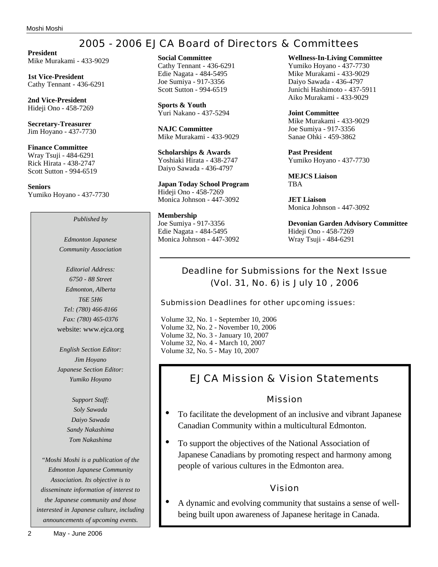# 2005 - 2006 EJCA Board of Directors & Committees

**President** Mike Murakami - 433-9029

**1st Vice-President** Cathy Tennant - 436-6291

**2nd Vice-President** Hideji Ono - 458-7269

**Secretary-Treasurer** Jim Hoyano - 437-7730

**Finance Committee** Wray Tsuji - 484-6291 Rick Hirata - 438-2747 Scott Sutton - 994-6519

**Seniors** Yumiko Hoyano - 437-7730

*Published by*

*Edmonton Japanese Community Association*

*Editorial Address: 6750 - 88 Street Edmonton, Alberta T6E 5H6 Tel: (780) 466-8166 Fax: (780) 465-0376* website: www.ejca.org

*English Section Editor: Jim Hoyano Japanese Section Editor: Yumiko Hoyano*

> *Support Staff: Soly Sawada Daiyo Sawada Sandy Nakashima Tom Nakashima*

*"Moshi Moshi is a publication of the Edmonton Japanese Community Association. Its objective is to disseminate information of interest to the Japanese community and those interested in Japanese culture, including announcements of upcoming events.*

**Social Committee** Cathy Tennant - 436-6291 Edie Nagata - 484-5495 Joe Sumiya - 917-3356 Scott Sutton - 994-6519

**Sports & Youth** Yuri Nakano - 437-5294

**NAJC Committee** Mike Murakami - 433-9029

**Scholarships & Awards** Yoshiaki Hirata - 438-2747 Daiyo Sawada - 436-4797

**Japan Today School Program** Hideji Ono - 458-7269 Monica Johnson - 447-3092

**Membership** Joe Sumiya - 917-3356 Edie Nagata - 484-5495 Monica Johnson - 447-3092 **Wellness-In-Living Committee** Yumiko Hoyano - 437-7730 Mike Murakami - 433-9029 Daiyo Sawada - 436-4797 Junichi Hashimoto - 437-5911 Aiko Murakami - 433-9029

**Joint Committee** Mike Murakami - 433-9029 Joe Sumiya - 917-3356 Sanae Ohki - 459-3862

**Past President** Yumiko Hoyano - 437-7730

**MEJCS Liaison TRA** 

**JET Liaison** Monica Johnson - 447-3092

**Devonian Garden Advisory Committee** Hideji Ono - 458-7269 Wray Tsuji - 484-6291

# Deadline for Submissions for the Next Issue (Vol. 31, No. 6) is July 10 , 2006

Submission Deadlines for other upcoming issues:

Volume 32, No. 1 - September 10, 2006 Volume 32, No. 2 - November 10, 2006 Volume 32, No. 3 - January 10, 2007 Volume 32, No. 4 - March 10, 2007 Volume 32, No. 5 - May 10, 2007

# EJCA Mission & Vision Statements

## Mission

- To facilitate the development of an inclusive and vibrant Japanese Canadian Community within a multicultural Edmonton.
- To support the objectives of the National Association of Japanese Canadians by promoting respect and harmony among people of various cultures in the Edmonton area.

## Vision

• A dynamic and evolving community that sustains a sense of wellbeing built upon awareness of Japanese heritage in Canada.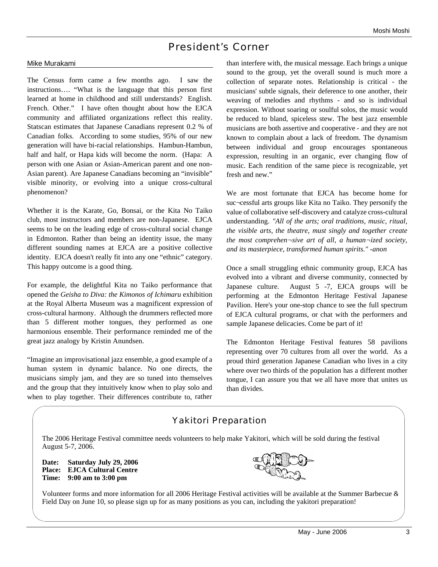# President's Corner

#### Mike Murakami

The Census form came a few months ago. I saw the instructions…. "What is the language that this person first learned at home in childhood and still understands? English. French. Other." I have often thought about how the EJCA community and affiliated organizations reflect this reality. Statscan estimates that Japanese Canadians represent 0.2 % of Canadian folks. According to some studies, 95% of our new generation will have bi-racial relationships. Hambun-Hambun, half and half, or Hapa kids will become the norm. (Hapa: A person with one Asian or Asian-American parent and one non-Asian parent). Are Japanese Canadians becoming an "invisible" visible minority, or evolving into a unique cross-cultural phenomenon?

Whether it is the Karate, Go, Bonsai, or the Kita No Taiko club, most instructors and members are non-Japanese. EJCA seems to be on the leading edge of cross-cultural social change in Edmonton. Rather than being an identity issue, the many different sounding names at EJCA are a positive collective identity. EJCA doesn't really fit into any one "ethnic" category. This happy outcome is a good thing.

For example, the delightful Kita no Taiko performance that opened the *Geisha to Diva: the Kimonos of Ichimaru* exhibition at the Royal Alberta Museum was a magnificent expression of cross-cultural harmony. Although the drummers reflected more than 5 different mother tongues, they performed as one harmonious ensemble. Their performance reminded me of the great jazz analogy by Kristin Anundsen.

"Imagine an improvisational jazz ensemble, a good example of a human system in dynamic balance. No one directs, the musicians simply jam, and they are so tuned into themselves and the group that they intuitively know when to play solo and when to play together. Their differences contribute to, rather

than interfere with, the musical message. Each brings a unique sound to the group, yet the overall sound is much more a collection of separate notes. Relationship is critical - the musicians' subtle signals, their deference to one another, their weaving of melodies and rhythms - and so is individual expression. Without soaring or soulful solos, the music would be reduced to bland, spiceless stew. The best jazz ensemble musicians are both assertive and cooperative - and they are not known to complain about a lack of freedom. The dynamism between individual and group encourages spontaneous expression, resulting in an organic, ever changing flow of music. Each rendition of the same piece is recognizable, yet fresh and new."

We are most fortunate that EJCA has become home for suc¬cessful arts groups like Kita no Taiko. They personify the value of collaborative self-discovery and catalyze cross-cultural understanding. *"All of the arts; oral traditions, music, ritual, the visible arts, the theatre, must singly and together create the most comprehen¬sive art of all, a human¬ized society, and its masterpiece, transformed human spirits." -anon*

Once a small struggling ethnic community group, EJCA has evolved into a vibrant and diverse community, connected by Japanese culture. August 5 -7, EJCA groups will be performing at the Edmonton Heritage Festival Japanese Pavilion. Here's your one-stop chance to see the full spectrum of EJCA cultural programs, or chat with the performers and sample Japanese delicacies. Come be part of it!

The Edmonton Heritage Festival features 58 pavilions representing over 70 cultures from all over the world. As a proud third generation Japanese Canadian who lives in a city where over two thirds of the population has a different mother tongue, I can assure you that we all have more that unites us than divides.

## Yakitori Preparation

The 2006 Heritage Festival committee needs volunteers to help make Yakitori, which will be sold during the festival August 5-7, 2006.

**Date: Saturday July 29, 2006 Place: EJCA Cultural Centre Time: 9:00 am to 3:00 pm**



Volunteer forms and more information for all 2006 Heritage Festival activities will be available at the Summer Barbecue & Field Day on June 10, so please sign up for as many positions as you can, including the yakitori preparation!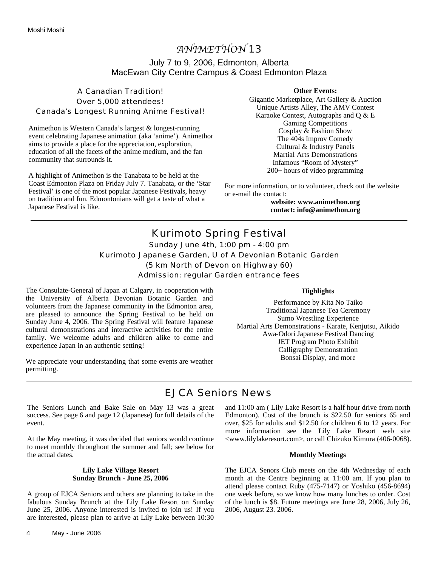# *ANIMETHON* 13 July 7 to 9, 2006, Edmonton, Alberta MacEwan City Centre Campus & Coast Edmonton Plaza

A Canadian Tradition! Over 5,000 attendees! Canada's Longest Running Anime Festival!

Animethon is Western Canada's largest & longest-running event celebrating Japanese animation (aka 'anime'). Animethon aims to provide a place for the appreciation, exploration, education of all the facets of the anime medium, and the fan community that surrounds it.

A highlight of Animethon is the Tanabata to be held at the Coast Edmonton Plaza on Friday July 7. Tanabata, or the 'Star Festival' is one of the most popular Japanese Festivals, heavy on tradition and fun. Edmontonians will get a taste of what a Japanese Festival is like.

#### **Other Events:**

Gigantic Marketplace, Art Gallery & Auction Unique Artists Alley, The AMV Contest Karaoke Contest, Autographs and Q & E Gaming Competitions Cosplay & Fashion Show The 404s Improv Comedy Cultural & Industry Panels Martial Arts Demonstrations Infamous "Room of Mystery" 200+ hours of video prgramming

For more information, or to volunteer, check out the website or e-mail the contact:

> **website: www.animethon.org contact: info@animethon.org**

Kurimoto Spring Festival Sunday June 4th, 1:00 pm - 4:00 pm Kurimoto Japanese Garden, U of A Devonian Botanic Garden (5 km North of Devon on Highway 60) Admission: regular Garden entrance fees

The Consulate-General of Japan at Calgary, in cooperation with the University of Alberta Devonian Botanic Garden and volunteers from the Japanese community in the Edmonton area, are pleased to announce the Spring Festival to be held on Sunday June 4, 2006. The Spring Festival will feature Japanese cultural demonstrations and interactive activities for the entire family. We welcome adults and children alike to come and experience Japan in an authentic setting!

We appreciate your understanding that some events are weather permitting.

#### **Highlights**

Performance by Kita No Taiko Traditional Japanese Tea Ceremony Sumo Wrestling Experience Martial Arts Demonstrations - Karate, Kenjutsu, Aikido Awa-Odori Japanese Festival Dancing JET Program Photo Exhibit Calligraphy Demonstration Bonsai Display, and more

# EJCA Seniors News

The Seniors Lunch and Bake Sale on May 13 was a great success. See page 6 and page 12 (Japanese) for full details of the event.

At the May meeting, it was decided that seniors would continue to meet monthly throughout the summer and fall; see below for the actual dates.

#### **Lily Lake Village Resort Sunday Brunch - June 25, 2006**

A group of EJCA Seniors and others are planning to take in the fabulous Sunday Brunch at the Lily Lake Resort on Sunday June 25, 2006. Anyone interested is invited to join us! If you are interested, please plan to arrive at Lily Lake between 10:30 and 11:00 am ( Lily Lake Resort is a half hour drive from north Edmonton). Cost of the brunch is \$22.50 for seniors 65 and over, \$25 for adults and \$12.50 for children 6 to 12 years. For more information see the Lily Lake Resort web site <www.lilylakeresort.com>, or call Chizuko Kimura (406-0068).

#### **Monthly Meetings**

The EJCA Senors Club meets on the 4th Wednesday of each month at the Centre beginning at 11:00 am. If you plan to attend please contact Ruby (475-7147) or Yoshiko (456-8694) one week before, so we know how many lunches to order. Cost of the lunch is \$8. Future meetings are June 28, 2006, July 26, 2006, August 23. 2006.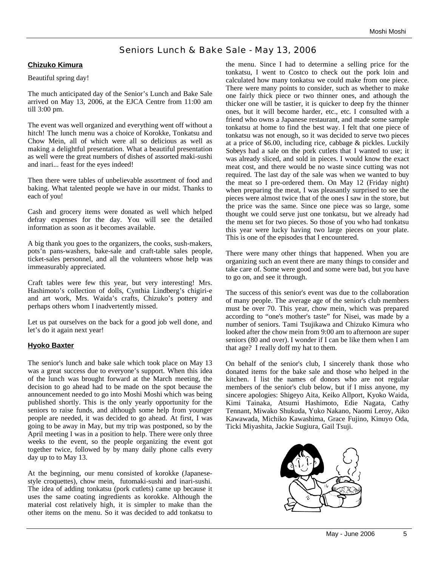# Seniors Lunch & Bake Sale - May 13, 2006

#### **Chizuko Kimura**

Beautiful spring day!

The much anticipated day of the Senior's Lunch and Bake Sale arrived on May 13, 2006, at the EJCA Centre from 11:00 am till 3:00 pm.

The event was well organized and everything went off without a hitch! The lunch menu was a choice of Korokke, Tonkatsu and Chow Mein, all of which were all so delicious as well as making a delightful presentation. What a beautiful presentation as well were the great numbers of dishes of assorted maki-sushi and inari... feast for the eyes indeed!

Then there were tables of unbelievable assortment of food and baking. What talented people we have in our midst. Thanks to each of you!

Cash and grocery items were donated as well which helped defray expenses for the day. You will see the detailed information as soon as it becomes available.

A big thank you goes to the organizers, the cooks, sush-makers, pots'n pans-washers, bake-sale and craft-table sales people, ticket-sales personnel, and all the volunteers whose help was immeasurably appreciated.

Craft tables were few this year, but very interesting! Mrs. Hashimoto's collection of dolls, Cynthia Lindberg's chigiri-e and art work, Mrs. Waida's crafts, Chizuko's pottery and perhaps others whom I inadvertently missed.

Let us pat ourselves on the back for a good job well done, and let's do it again next year!

#### **Hyoko Baxter**

The senior's lunch and bake sale which took place on May 13 was a great success due to everyone's support. When this idea of the lunch was brought forward at the March meeting, the decision to go ahead had to be made on the spot because the announcement needed to go into Moshi Moshi which was being published shortly. This is the only yearly opportunity for the seniors to raise funds, and although some help from younger people are needed, it was decided to go ahead. At first, I was going to be away in May, but my trip was postponed, so by the April meeting I was in a position to help. There were only three weeks to the event, so the people organizing the event got together twice, followed by by many daily phone calls every day up to to May 13.

At the beginning, our menu consisted of korokke (Japanesestyle croquettes), chow mein, futomaki-sushi and inari-sushi. The idea of adding tonkatsu (pork cutlets) came up because it uses the same coating ingredients as korokke. Although the material cost relatively high, it is simpler to make than the other items on the menu. So it was decided to add tonkatsu to

the menu. Since I had to determine a selling price for the tonkatsu, I went to Costco to check out the pork loin and calculated how many tonkatsu we could make from one piece. There were many points to consider, such as whether to make one fairly thick piece or two thinner ones, and athough the thicker one will be tastier, it is quicker to deep fry the thinner ones, but it will become harder, etc., etc. I consulted with a friend who owns a Japanese restaurant, and made some sample tonkatsu at home to find the best way. I felt that one piece of tonkatsu was not enough, so it was decided to serve two pieces at a price of \$6.00, including rice, cabbage & pickles. Luckily Sobeys had a sale on the pork cutlets that I wanted to use; it was already sliced, and sold in pieces. I would know the exact meat cost, and there would be no waste since cutting was not required. The last day of the sale was when we wanted to buy the meat so I pre-ordered them. On May 12 (Friday night) when preparing the meat, I was pleasantly surprised to see the pieces were almost twice that of the ones I saw in the store, but the price was the same. Since one piece was so large, some thought we could serve just one tonkatsu, but we already had the menu set for two pieces. So those of you who had tonkatsu this year were lucky having two large pieces on your plate. This is one of the episodes that I encountered.

There were many other things that happened. When you are organizing such an event there are many things to consider and take care of. Some were good and some were bad, but you have to go on, and see it through.

The success of this senior's event was due to the collaboration of many people. The average age of the senior's club members must be over 70. This year, chow mein, which was prepared according to "one's mother's taste" for Nisei, was made by a number of seniors. Tami Tsujikawa and Chizuko Kimura who looked after the chow mein from 9:00 am to afternoon are super seniors (80 and over). I wonder if I can be like them when I am that age? I really doff my hat to them.

On behalf of the senior's club, I sincerely thank those who donated items for the bake sale and those who helped in the kitchen. I list the names of donors who are not regular members of the senior's club below, but if I miss anyone, my sincere apologies: Shigeyo Aita, Keiko Allport, Kyoko Waida, Kimi Tainaka, Atsumi Hashimoto, Edie Nagata, Cathy Tennant, Miwako Shukuda, Yuko Nakano, Naomi Leroy, Aiko Kawawada, Michiko Kawashima, Grace Fujino, Kinuyo Oda, Ticki Miyashita, Jackie Sugiura, Gail Tsuji.

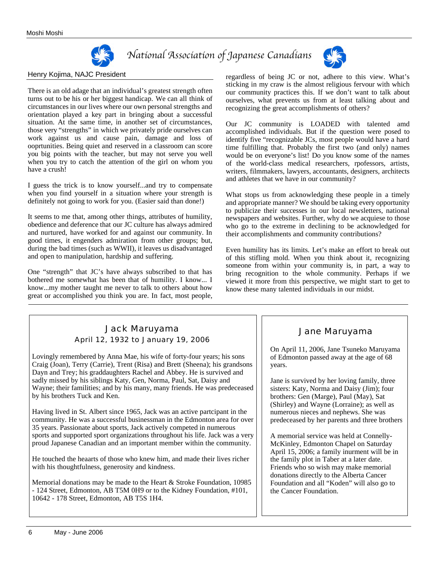

# *National Association of Japanese Canadians*



#### Henry Kojima, NAJC President

There is an old adage that an individual's greatest strength often turns out to be his or her biggest handicap. We can all think of circumstances in our lives where our own personal strengths and orientation played a key part in bringing about a successful situation. At the same time, in another set of circumstances, those very "strengths" in which we privately pride ourselves can work against us and cause pain, damage and loss of ooprtunities. Being quiet and reserved in a classroom can score you big points with the teacher, but may not serve you well when you try to catch the attention of the girl on whom you have a crush!

I guess the trick is to know yourself...and try to compensate when you find yourself in a situation where your strength is definitely not going to work for you. (Easier said than done!)

It seems to me that, among other things, attributes of humility, obedience and deference that our JC culture has always admired and nurtured, have worked for and against our community. In good times, it engenders admiration from other groups; but, during the bad times (such as WWII), it leaves us disadvantaged and open to manipulation, hardship and suffering.

One "strength" that JC's have always subscribed to that has bothered me somewhat has been that of humility. I know... I know...my mother taught me never to talk to others about how great or accomplished you think you are. In fact, most people, regardless of being JC or not, adhere to this view. What's sticking in my craw is the almost religious fervour with which our community practices this. If we don't want to talk about ourselves, what prevents us from at least talking about and recognizing the great accomplishments of others?

Our JC community is LOADED with talented amd accomplished individuals. But if the question were posed to identify five "recognizable JCs, most people would have a hard time fulfilling that. Probably the first two (and only) names would be on everyone's list! Do you know some of the names of the world-class medical researchers, rpofessors, artists, writers, filmmakers, lawyers, accountants, designers, architects and athletes that we have in our community?

What stops us from acknowledging these people in a timely and appropriate manner? We should be taking every opportunity to publicize their successes in our local newsletters, national newspapers and websites. Further, why do we acquiese to those who go to the extreme in declining to be acknowledged for their accomplishments and community contributions?

Even humility has its limits. Let's make an effort to break out of this stifling mold. When you think about it, recognizing someone from within your community is, in part, a way to bring recognition to the whole community. Perhaps if we viewed it more from this perspective, we might start to get to know these many talented individuals in our midst.

## Jack Maruyama April 12, 1932 to January 19, 2006

Lovingly remembered by Anna Mae, his wife of forty-four years; his sons Craig (Joan), Terry (Carrie), Trent (Risa) and Brett (Sheena); his grandsons Dayn and Trey; his graddaughters Rachel and Abbey. He is survived and sadly missed by his siblings Katy, Gen, Norma, Paul, Sat, Daisy and Wayne; their familities; and by his many, many friends. He was predeceased by his brothers Tuck and Ken.

Having lived in St. Albert since 1965, Jack was an active partcipant in the community. He was a successful businessman in the Edmonton area for over 35 years. Passionate about sports, Jack actively competed in numerous sports and supported sport organizations throughout his life. Jack was a very proud Japanese Canadian and an important member within the community.

He touched the heaarts of those who knew him, and made their lives richer with his thoughtfulness, generosity and kindness.

Memorial donations may be made to the Heart & Stroke Foundation, 10985 - 124 Street, Edmonton, AB T5M 0H9 or to the Kidney Foundation, #101, 10642 - 178 Street, Edmonton, AB T5S 1H4.

## Jane Maruyama

On April 11, 2006, Jane Tsuneko Maruyama of Edmonton passed away at the age of 68 years.

Jane is survived by her loving family, three sisters: Katy, Norma and Daisy (Jim); four brothers: Gen (Marge), Paul (May), Sat (Shirley) and Wayne (Lorraine); as well as numerous nieces and nephews. She was predeceased by her parents and three brothers

A memorial service was held at Connelly-McKinley, Edmonton Chapel on Saturday April 15, 2006; a family inurment will be in the family plot in Taber at a later date. Friends who so wish may make memorial donations directly to the Alberta Cancer Foundation and all "Koden" will also go to the Cancer Foundation.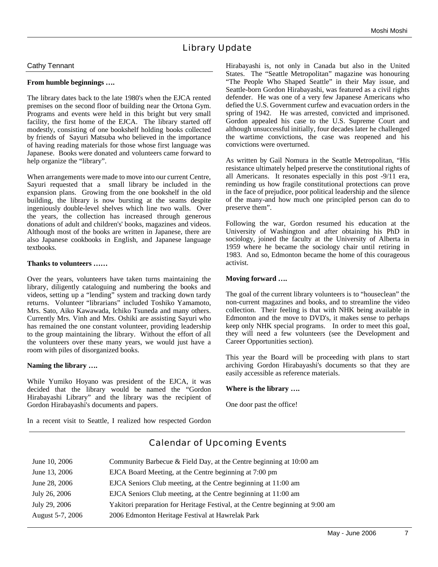# Library Update

#### Cathy Tennant

#### **From humble beginnings ….**

The library dates back to the late 1980's when the EJCA rented premises on the second floor of building near the Ortona Gym. Programs and events were held in this bright but very small facility, the first home of the EJCA. The library started off modestly, consisting of one bookshelf holding books collected by friends of Sayuri Matsuba who believed in the importance of having reading materials for those whose first language was Japanese. Books were donated and volunteers came forward to help organize the "library".

When arrangements were made to move into our current Centre, Sayuri requested that a small library be included in the expansion plans. Growing from the one bookshelf in the old building, the library is now bursting at the seams despite ingeniously double-level shelves which line two walls. Over the years, the collection has increased through generous donations of adult and children's' books, magazines and videos. Although most of the books are written in Japanese, there are also Japanese cookbooks in English, and Japanese language textbooks.

#### **Thanks to volunteers ……**

Over the years, volunteers have taken turns maintaining the library, diligently cataloguing and numbering the books and videos, setting up a "lending" system and tracking down tardy returns. Volunteer "librarians" included Toshiko Yamamoto, Mrs. Sato, Aiko Kawawada, Ichiko Tsuneda and many others. Currently Mrs. Vinh and Mrs. Oshiki are assisting Sayuri who has remained the one constant volunteer, providing leadership to the group maintaining the library. Without the effort of all the volunteers over these many years, we would just have a room with piles of disorganized books.

#### **Naming the library ….**

While Yumiko Hoyano was president of the EJCA, it was decided that the library would be named the "Gordon Hirabayashi Library" and the library was the recipient of Gordon Hirabayashi's documents and papers.

In a recent visit to Seattle, I realized how respected Gordon

Hirabayashi is, not only in Canada but also in the United States. The "Seattle Metropolitan" magazine was honouring "The People Who Shaped Seattle" in their May issue, and Seattle-born Gordon Hirabayashi, was featured as a civil rights defender. He was one of a very few Japanese Americans who defied the U.S. Government curfew and evacuation orders in the spring of 1942. He was arrested, convicted and imprisoned. Gordon appealed his case to the U.S. Supreme Court and although unsuccessful initially, four decades later he challenged the wartime convictions, the case was reopened and his convictions were overturned.

As written by Gail Nomura in the Seattle Metropolitan, "His resistance ultimately helped preserve the constitutional rights of all Americans. It resonates especially in this post -9/11 era, reminding us how fragile constitutional protections can prove in the face of prejudice, poor political leadership and the silence of the many-and how much one principled person can do to preserve them".

Following the war, Gordon resumed his education at the University of Washington and after obtaining his PhD in sociology, joined the faculty at the University of Alberta in 1959 where he became the sociology chair until retiring in 1983. And so, Edmonton became the home of this courageous activist.

#### **Moving forward ….**

The goal of the current library volunteers is to "houseclean" the non-current magazines and books, and to streamline the video collection. Their feeling is that with NHK being available in Edmonton and the move to DVD's, it makes sense to perhaps keep only NHK special programs. In order to meet this goal, they will need a few volunteers (see the Development and Career Opportunities section).

This year the Board will be proceeding with plans to start archiving Gordon Hirabayashi's documents so that they are easily accessible as reference materials.

#### **Where is the library ….**

One door past the office!

| June 10, 2006    | Community Barbecue & Field Day, at the Centre beginning at 10:00 am            |
|------------------|--------------------------------------------------------------------------------|
| June 13, 2006    | EJCA Board Meeting, at the Centre beginning at 7:00 pm                         |
| June 28, 2006    | EJCA Seniors Club meeting, at the Centre beginning at 11:00 am                 |
| July 26, 2006    | EJCA Seniors Club meeting, at the Centre beginning at 11:00 am                 |
| July 29, 2006    | Yakitori preparation for Heritage Festival, at the Centre beginning at 9:00 am |
| August 5-7, 2006 | 2006 Edmonton Heritage Festival at Hawrelak Park                               |

## Calendar of Upcoming Events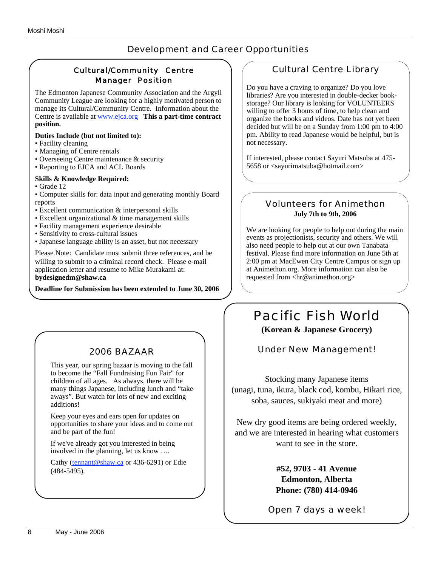## Development and Career Opportunities

## Cultural/Community Centre Manager Position

The Edmonton Japanese Community Association and the Argyll Community League are looking for a highly motivated person to manage its Cultural/Community Centre. Information about the Centre is available at www.ejca.org **This a part-time contract position.**

#### **Duties Include (but not limited to):**

- Facility cleaning
- Managing of Centre rentals
- Overseeing Centre maintenance & security
- Reporting to EJCA and ACL Boards

#### **Skills & Knowledge Required:**

- Grade 12
- Computer skills for: data input and generating monthly Board reports
- Excellent communication & interpersonal skills
- Excellent organizational & time management skills
- Facility management experience desirable
- Sensitivity to cross-cultural issues
- Japanese language ability is an asset, but not necessary

Please Note: Candidate must submit three references, and be willing to submit to a criminal record check. Please e-mail application letter and resume to Mike Murakami at: **bydesignedm@shaw.ca** 

**Deadline for Submission has been extended to June 30, 2006** 

# 2006 BAZAAR

This year, our spring bazaar is moving to the fall to become the "Fall Fundraising Fun Fair" for children of all ages. As always, there will be many things Japanese, including lunch and "takeaways". But watch for lots of new and exciting additions!

Keep your eyes and ears open for updates on opportunities to share your ideas and to come out and be part of the fun!

If we've already got you interested in being involved in the planning, let us know ….

Cathy (tennant@shaw.ca or 436-6291) or Edie (484-5495).

## Cultural Centre Library

Do you have a craving to organize? Do you love libraries? Are you interested in double-decker bookstorage? Our library is looking for VOLUNTEERS willing to offer 3 hours of time, to help clean and organize the books and videos. Date has not yet been decided but will be on a Sunday from 1:00 pm to 4:00 pm. Ability to read Japanese would be helpful, but is not necessary.

If interested, please contact Sayuri Matsuba at 475- 5658 or <sayurimatsuba@hotmail.com>

## Volunteers for Animethon **July 7th to 9th, 2006**

We are looking for people to help out during the main events as projectionists, security and others. We will also need people to help out at our own Tanabata festival. Please find more information on June 5th at 2:00 pm at MacEwen City Centre Campus or sign up at Animethon.org. More information can also be requested from <hr@animethon.org>

# Pacific Fish World **(Korean & Japanese Grocery)**

Under New Management!

Stocking many Japanese items (unagi, tuna, ikura, black cod, kombu, Hikari rice, soba, sauces, sukiyaki meat and more)

New dry good items are being ordered weekly, and we are interested in hearing what customers want to see in the store.

> **#52, 9703 - 41 Avenue Edmonton, Alberta Phone: (780) 414-0946**

Open 7 days a week!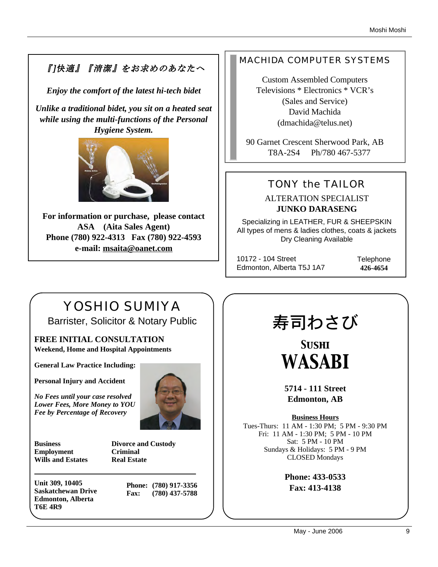# 『]快適』『清潔』をお求めのあなたへ

*Enjoy the comfort of the latest hi-tech bidet*

*Unlike a traditional bidet, you sit on a heated seat while using the multi-functions of the Personal Hygiene System.* 



**For information or purchase, please contact ASA (Aita Sales Agent) Phone (780) 922-4313 Fax (780) 922-4593 e-mail: msaita@oanet.com**

# MACHIDA COMPUTER SYSTEMS

Custom Assembled Computers Televisions \* Electronics \* VCR's (Sales and Service) David Machida (dmachida@telus.net)

90 Garnet Crescent Sherwood Park, AB T8A-2S4 Ph/780 467-5377

# TONY the TAILOR

ALTERATION SPECIALIST **JUNKO DARASENG**

Specializing in LEATHER, FUR & SHEEPSKIN All types of mens & ladies clothes, coats & jackets Dry Cleaning Available

10172 - 104 Street Edmonton, Alberta T5J 1A7 **Telephone 426-4654**

# YOSHIO SUMIYA Barrister, Solicitor & Notary Public

**FREE INITIAL CONSULTATION Weekend, Home and Hospital Appointments**

**General Law Practice Including:**

**Personal Injury and Accident**

*No Fees until your case resolved Lower Fees, More Money to YOU Fee by Percentage of Recovery*



**Business Divorce and Custody Employment Criminal Wills and Estates Real Estate**

**Unit 309, 10405 Saskatchewan Drive Edmonton, Alberta T6E 4R9**

**Phone: (780) 917-3356 Fax: (780) 437-5788**

# 寿司わさび

*Sushi WASABI*

**5714 - 111 Street Edmonton, AB**

**Business Hours** Tues-Thurs: 11 AM - 1:30 PM; 5 PM - 9:30 PM Fri: 11 AM - 1:30 PM; 5 PM - 10 PM Sat: 5 PM - 10 PM Sundays & Holidays: 5 PM - 9 PM CLOSED Mondays

> **Phone: 433-0533 Fax: 413-4138**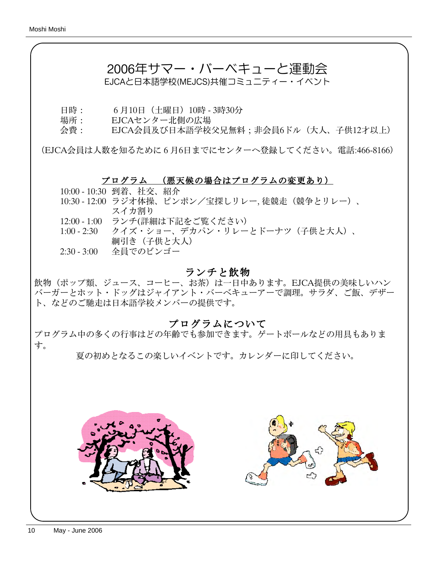# 2006年サマー・バーベキューと運動会

EJCAと日本語学校(MEJCS)共催コミュニティー・イベント

- 日時: 6月10日(土曜日)10時 3時30分
- 場所: EJCAセンター北側の広場
- 会費: EJCA会員及び日本語学校父兄無料;非会員6ドル(大人、子供12才以上)

(EJCA会員は人数を知るために6月6日までにセンターへ登録してください。電話:466-8166)

## プログラム (悪天候の場合はプログラムの変更あり)

10:00 - 10:30 到着、社交、紹介

- 10:30 12:00 ラジオ体操、ピンポン/宝探しリレー, 徒競走(競争とリレー)、 スイカ割り
- 12:00 1:00 ランチ(詳細は下記をご覧ください)
- 1:00 2:30 クイズ・ショー、デカパン・リレーとドーナツ(子供と大人)、 綱引き(子供と大人)
- 2:30 3:00 全員でのビンゴー

# ランチと飲物

飲物(ポップ類、ジュース、コーヒー、お茶)は一日中あります。EJCA提供の美味しいハン バーガーとホット・ドッグはジャイアント・バーベキューアーで調理。サラダ、ご飯、デザー ト、などのご馳走は日本語学校メンバーの提供です。

# プログラムについて

プログラム中の多くの行事はどの年齢でも参加できます。ゲートボールなどの用具もありま す。

夏の初めとなるこの楽しいイベントです。カレンダーに印してください。

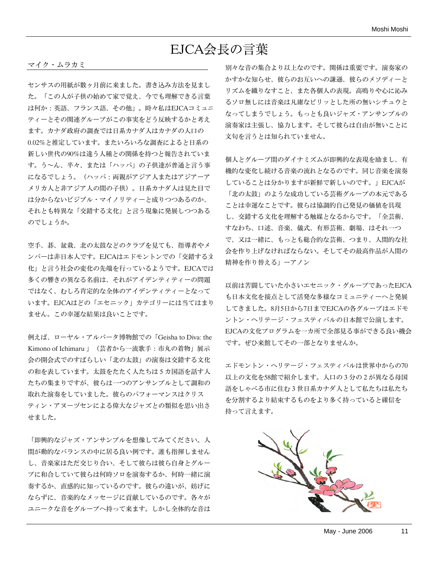# EJCA会長の言葉

#### マイク・ムラカミ

センサスの用紙が数ヶ月前に来ました。書き込み方法を見まし た。「この人が子供の始めて家で覚え、今でも理解できる言葉 は何か:英語、フランス語、その他」。時々私はEJCAコミュニ ティーとその関連グループがこの事実をどう反映するかと考え ます。カナダ政府の調査では日系カナダ人はカナダの人口の 0.02%と推定しています。またいろいろな調査によると日系の 新しい世代の90%は違う人種との関係を持つと報告されていま す。う~ん、半々、または「ハッパ」の子供達が普通と言う事 になるでしょう。(ハッパ:両親がアジア人またはアジアーア メリカ人と非アジア人の間の子供)。日系カナダ人は見た目で は分からないビジブル・マイノリティーと成りつつあるのか、 それとも特異な「交錯する文化」と言う現象に発展しつつある のでしょうか。

空手、碁、盆栽、北の太鼓などのクラブを見ても、指導者やメ ンバーは非日本人です。EJCAはエドモントンでの「交錯する文 化」と言う社会の変化の先端を行っているようです。EJCAでは 多くの響きの異なる名前は、それがアイデンティティーの問題 ではなく、むしろ肯定的な全体のアイデンティティーとなって います。EJCAはどの「エセニック」カテゴリーには当てはまり ません。この幸運な結果は良いことです。

例えば、ローヤル・アルバータ博物館での「Geisha to Diva: the Kimono of Ichimaru 」(芸者から一流歌手:市丸の着物」展示 会の開会式でのすばらしい「北の太鼓」の演奏は交錯する文化 の和を表しています。太鼓をたたく人たちは5カ国語を話す人 たちの集まりですが、彼らは一つのアンサンブルとして調和の 取れた演奏をしていました。彼らのパフォーマンスはクリス ティン・アヌーヅセンによる偉大なジャズとの類似を思い出さ せました。

「即興的なジャズ・アンサンブルを想像してみてください。人 間が動的なバランスの中に居る良い例です。誰も指揮しません し、音楽家はただ交じり合い、そして彼らは彼ら自身とグルー プに和合していて彼らは何時ソロを演奏するか、何時一緒に演 奏するか、直感的に知っているのです。彼らの違いが、妨げに ならずに、音楽的なメッセージに貢献しているのです。各々が ユニークな音をグループへ持って来ます。しかし全体的な音は

別々な音の集合より以上なのです。関係は重要です。演奏家の かすかな知らせ、彼らのお互いへの謙遜、彼らのメソディーと リズムを織りなすこと、また各個人の表現。高鳴りや心に沁み るソロ無しには音楽は凡庸なピリッとした所の無いシチュウと なってしまうでしょう。もっとも良いジャズ・アンサンブルの 演奏家は主張し、協力します。そして彼らは自由が無いことに 文句を言うとは知られていません。

個人とグループ間のダイナミズムが即興的な表現を励まし、有 機的な変化し続ける音楽の流れとなるのです。同じ音楽を演奏 していることは分かりますが新鮮で新しいのです。」EJCAが 「北の太鼓」のような成功している芸術グループの本元である ことは幸運なことです。彼らは協調的自己発見の価値を具現 し、交錯する文化を理解する触媒となるからです。「全芸術、 すなわち、口述、音楽、儀式、有形芸術、劇場、はそれ一つ で、又は一緒に、もっとも総合的な芸術、つまり、人間的な社 会を作り上げなければならない。そしてその最高作品が人間の 精神を作り替える」ーアノン

以前は苦闘していた小さいエセニック・グループであったEJCA も日本文化を接点として活発な多様なコミュニティーへと発展 してきました。8月5日から7日までEJCAの各グループはエドモ ントン・ヘリテージ・フェスティバルの日本館で公演します。 EJCAの文化プログラムを一カ所で全部見る事ができる良い機会 です。ぜひ来館してその一部となりませんか。

エドモントン・ヘリテージ・フェスティバルは世界中からの70 以上の文化を58館で紹介します。人口の3分の2が異なる母国 語をしゃべる市に住む3世日系カナダ人として私たちは私たち を分割するより結束するものをより多く持っていると確信を 持って言えます。

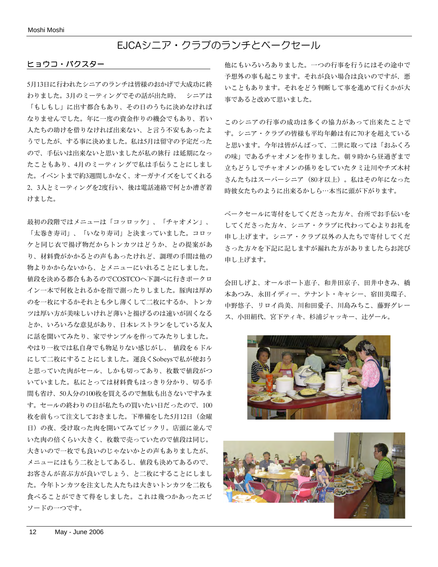# EJCAシニア・クラブのランチとベークセール

#### ヒョウコ・バクスター

5月13日に行われたシニアのランチは皆様のおかげで大成功に終 わりました。3月のミーティングでその話が出た時、 シニアは 「もしもし」に出す都合もあり、その日のうちに決めなければ なりませんでした。年に一度の資金作りの機会でもあり、若い 人たちの助けを借りなければ出来ない、と言う不安もあったよ うでしたが、する事に決めました。私は5月は留守の予定だった ので、手伝いは出来ないと思いましたが私の旅行 は延期になっ たこともあり、4月のミーティングで私は手伝うことにしまし た。イベントまで約3週間しかなく、オーガナイズをしてくれる 2、3人とミーティングを2度行い、後は電話連絡で何とか漕ぎ着 けました。

最初の段階ではメニューは「コッロッケ」、「チャオメン」、 「太巻き寿司」、「いなり寿司」と決まっていました。コロッ ケと同じ衣で揚げ物だからトンカツはどうか、との提案があ り、材料費がかかるとの声もあったけれど、調理の手間は他の 物よりかからないから、とメニューにいれることにしました。 値段を決める都合もあるのでCOSTCOへ下調べに行きポークロ イン一本で何枚とれるかを指で測ったりしました。豚肉は厚め のを一枚にするかそれとも少し薄くして二枚にするか、トンカ ツは厚い方が美味しいけれど薄いと揚げるのは速いが固くなる とか、いろいろな意見があり、日本レストランをしている友人 に話を聞いてみたり、家でサンプルを作ってみたりしました。 やはり一枚では私自身でも物足りない感じがし、 値段を6ドル にして二枚にすることにしました。運良くSobeysで私が使おう と思っていた肉がセール、しかも切ってあり、枚数で値段がつ いていました。私にとっては材料費もはっきり分かり、切る手 間も省け、50人分の100枚を買えるので無駄も出さないですみま す。セールの終わりの日が私たちの買いたい日だったので、100 枚を前もって注文しておきました。下準備をした5月12日(金曜 日)の夜、受け取った肉を開いてみてビックリ。店頭に並んで いた肉の倍くらい大きく、枚数で売っていたので値段は同じ。 大きいので一枚でも良いのじゃないかとの声もありましたが、 メニューにはもう二枚としてあるし、値段も決めてあるので、 お客さんが喜ぶ方が良いでしょう、と二枚にすることにしまし た。今年トンカツを注文した人たちは大きいトンカツを二枚も 食べることができて得をしました。これは幾つかあったエピ ソードの一つです。

他にもいろいろありました。一つの行事を行うにはその途中で 予想外の事も起こります。それが良い場合は良いのですが、悪 いこともあります。それをどう判断して事を進めて行くかが大 事であると改めて思いました。

このシニアの行事の成功は多くの協力があって出来たことで す。シニア・クラブの皆様も平均年齢は有に70才を超えている と思います。今年は皆がんばって、二世に取っては「おふくろ の味」であるチャオメンを作りました。朝9時から昼過ぎまで 立ちどうしでチャオメンの係りをしていたタミ辻川やチズ木村 さんたちはスーパーシニア(80才以上)。私はその年になった 時彼女たちのように出来るかしら⋯本当に頭が下がります。

ベークセールに寄付をしてくださった方々、台所でお手伝いを してくださった方々、シニア・クラブに代わって心よりお礼を 申し上げます。シニア・クラブ以外の人たちで寄付してくだ さった方々を下記に記しますが漏れた方がありましたらお詫び 申し上げます。

会田しげよ、オールポート恵子、和井田京子、田井中きみ、橋 本あつみ、永田イディー、テナント・キャシー、宿田美環子、 中野悠子、リロイ尚美、川和田愛子、川島みちこ、藤野グレー ス、小田絹代、宮下ティキ、杉浦ジャッキー、辻ゲール。



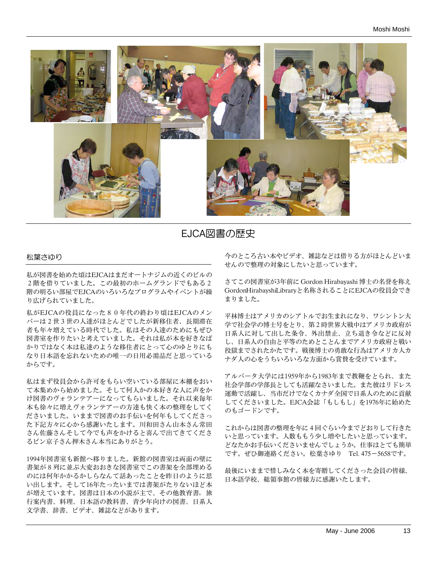

EJCA図書の歴史

#### 松葉さゆり

私が図書を始めた頃はEJCAはまだオートナジムの近くのビルの 2階を借りていました。この最初のホームグランドでもある2 階の明るい部屋でEJCAのいろいろなプログラムやイベントが繰 り広げられていました。

私がEJCAの役員になった80年代の終わり頃はEJCAのメン バーは2世3世の人達がほとんどでしたが新移住者、長期滞在 者も年々増えている時代でした。私はその人達のためにもぜひ 図書室を作りたいと考えていました。それは私が本を好きなば かりではなく本は私達のような移住者にとって心のゆとりにも なり日本語を忘れないための唯一の日用必需品だと思っている からです。

私はまず役員会から許可をもらい空いている部屋に本棚をおい て本集めから始めました。そして何人かの本好きな人に声をか け図書のヴォランテアーになってもらいました。それ以来毎年 本も徐々に増えヴォランテアーの方達も快く本の整理をしてく ださいました。いままで図書のお手伝いを何年もしてくださっ た下記方々に心から感謝いたします。川和田さん山本さん常田 さん佐藤さんそして今でも声をかけると喜んで出てきてくださ るビン京子さん押木さん本当にありがとう。

1994年図書室も新館へ移りました。新館の図書室は両面の壁に 書架が8列に並ぶ大変おおきな図書室でこの書架を全部埋める のには何年かかるかしらなんて話あったことを昨日のように思 い出します。そして16年たったいまでは書架がたりないほど本 が増えています。図書は日本の小説が主で、その他教育書,旅 行案内書、料理、日本語の教科書、青少年向けの図書、日系人 文学書、辞書、ビデオ、雑誌などがあります。

今のところ古い本やビデオ、雑誌などは借りる方がほとんどいま せんので整理の対象にしたいと思っています。

さてこの図書室が3年前に Gordon Hirabayashi 博士の名誉を称え GordonHirabayshiLibraryと名称されることにEJCAの役員会でき まりました。

平林博士はアメリカのシアトルでお生まれになり、ワシントン大 学で社会学の博士号をとり、第2時世界大戦中はアメリカ政府が 日系人に対して出した条令、外出禁止、立ち退き令などに反対 し、日系人の自由と平等のためとことんまでアメリカ政府と戦い 投獄までされたかたです。戦後博士の勇敢な行為はアメリカ人カ ナダ人の心をうちいろいろな方面から賞賛を受けています。

アルバータ大学には1959年から1983年まで教鞭をとられ、また 社会学部の学部長としても活躍なさいました。また彼はリドレス 運動で活躍し、当市だけでなくカナダ全国で日系人のために貢献 してくださいました。EJCA会誌「もしもし」を1976年に始めた のもゴードンです。

これからは図書の整理を年に4回ぐらい今までどおりして行きた いと思っています。人数ももう少し増やしたいと思っています。 どなたかお手伝いくださいませんでしょうか。仕事はとても簡単 です。ぜひ御連絡ください。松葉さゆり Tel. 475-5658です。

最後にいままで惜しみなく本を寄贈してくださった会員の皆様、 日本語学校、総領事館の皆様方に感謝いたします。